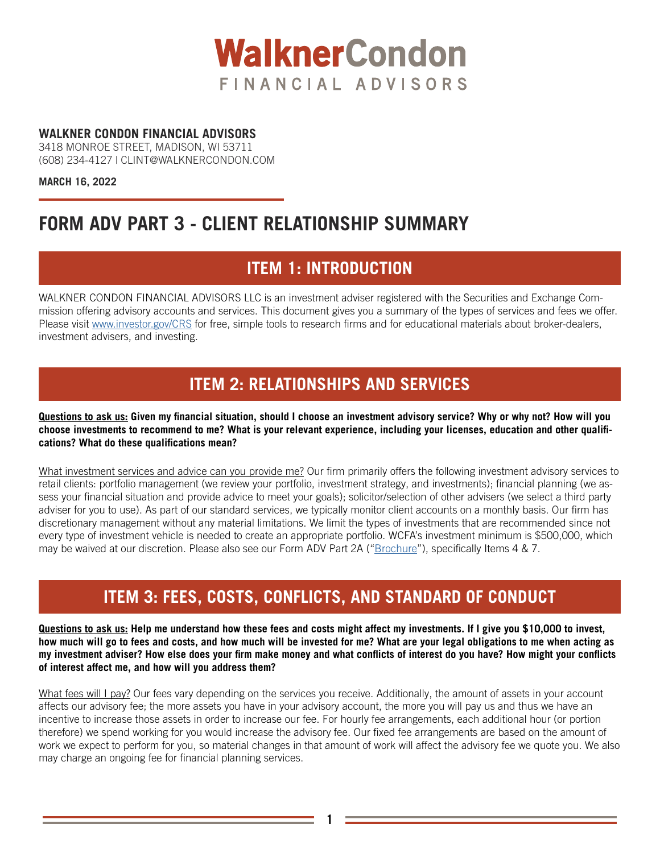

### **WALKNER CONDON FINANCIAL ADVISORS**

3418 MONROE STREET, MADISON, WI 53711 (608) 234-4127 | CLINT@WALKNERCONDON.COM

**MARCH 16, 2022**

# **FORM ADV PART 3 - CLIENT RELATIONSHIP SUMMARY**

# **ITEM 1: INTRODUCTION**

WALKNER CONDON FINANCIAL ADVISORS LLC is an investment adviser registered with the Securities and Exchange Commission offering advisory accounts and services. This document gives you a summary of the types of services and fees we offer. Please visit [www.investor.gov/CRS](https://www.investor.gov/CRS) for free, simple tools to research firms and for educational materials about broker-dealers, investment advisers, and investing.

### **ITEM 2: RELATIONSHIPS AND SERVICES**

**Questions to ask us: Given my financial situation, should I choose an investment advisory service? Why or why not? How will you choose investments to recommend to me? What is your relevant experience, including your licenses, education and other qualifications? What do these qualifications mean?**

What investment services and advice can you provide me? Our firm primarily offers the following investment advisory services to retail clients: portfolio management (we review your portfolio, investment strategy, and investments); financial planning (we assess your financial situation and provide advice to meet your goals); solicitor/selection of other advisers (we select a third party adviser for you to use). As part of our standard services, we typically monitor client accounts on a monthly basis. Our firm has discretionary management without any material limitations. We limit the types of investments that are recommended since not every type of investment vehicle is needed to create an appropriate portfolio. WCFA's investment minimum is \$500,000, which may be waived at our discretion. Please also see our Form ADV Part 2A ("[Brochure](https://usexpatinvesting.com/wp-content/uploads/2022/03/220323-ADV-2A.pdf)"), specifically Items 4 & 7.

### **ITEM 3: FEES, COSTS, CONFLICTS, AND STANDARD OF CONDUCT**

**Questions to ask us: Help me understand how these fees and costs might affect my investments. If I give you \$10,000 to invest, how much will go to fees and costs, and how much will be invested for me? What are your legal obligations to me when acting as my investment adviser? How else does your firm make money and what conflicts of interest do you have? How might your conflicts of interest affect me, and how will you address them?**

What fees will I pay? Our fees vary depending on the services you receive. Additionally, the amount of assets in your account affects our advisory fee; the more assets you have in your advisory account, the more you will pay us and thus we have an incentive to increase those assets in order to increase our fee. For hourly fee arrangements, each additional hour (or portion therefore) we spend working for you would increase the advisory fee. Our fixed fee arrangements are based on the amount of work we expect to perform for you, so material changes in that amount of work will affect the advisory fee we quote you. We also may charge an ongoing fee for financial planning services.